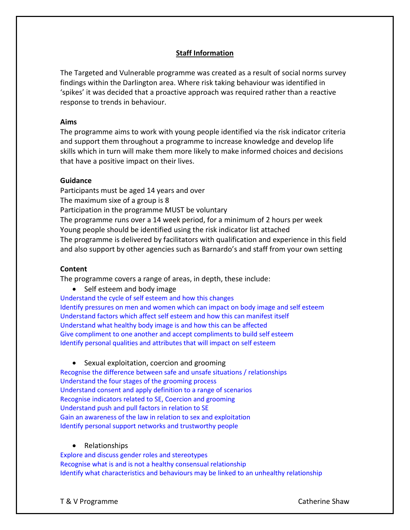# **Staff Information**

The Targeted and Vulnerable programme was created as a result of social norms survey findings within the Darlington area. Where risk taking behaviour was identified in 'spikes' it was decided that a proactive approach was required rather than a reactive response to trends in behaviour.

#### **Aims**

The programme aims to work with young people identified via the risk indicator criteria and support them throughout a programme to increase knowledge and develop life skills which in turn will make them more likely to make informed choices and decisions that have a positive impact on their lives.

# **Guidance**

Participants must be aged 14 years and over The maximum sixe of a group is 8 Participation in the programme MUST be voluntary The programme runs over a 14 week period, for a minimum of 2 hours per week Young people should be identified using the risk indicator list attached The programme is delivered by facilitators with qualification and experience in this field and also support by other agencies such as Barnardo's and staff from your own setting

# **Content**

The programme covers a range of areas, in depth, these include:

• Self esteem and body image

Understand the cycle of self esteem and how this changes Identify pressures on men and women which can impact on body image and self esteem Understand factors which affect self esteem and how this can manifest itself Understand what healthy body image is and how this can be affected Give compliment to one another and accept compliments to build self esteem Identify personal qualities and attributes that will impact on self esteem

• Sexual exploitation, coercion and grooming Recognise the difference between safe and unsafe situations / relationships Understand the four stages of the grooming process Understand consent and apply definition to a range of scenarios Recognise indicators related to SE, Coercion and grooming Understand push and pull factors in relation to SE Gain an awareness of the law in relation to sex and exploitation Identify personal support networks and trustworthy people

#### • Relationships

Explore and discuss gender roles and stereotypes Recognise what is and is not a healthy consensual relationship Identify what characteristics and behaviours may be linked to an unhealthy relationship